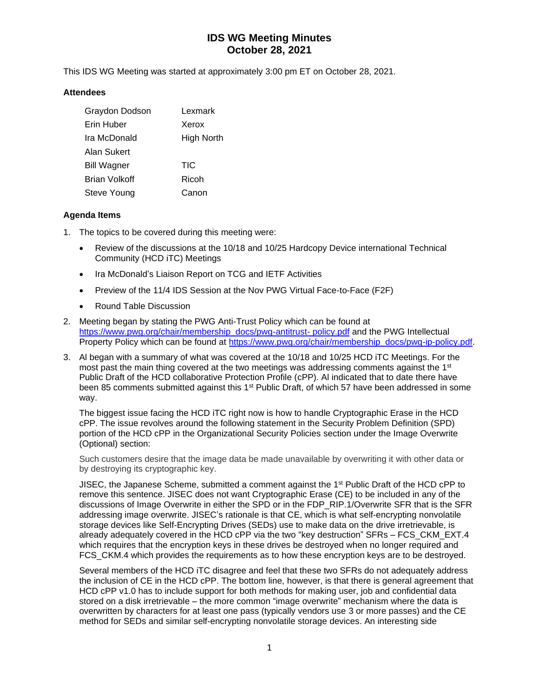This IDS WG Meeting was started at approximately 3:00 pm ET on October 28, 2021.

#### **Attendees**

| Graydon Dodson     | Lexmark    |
|--------------------|------------|
| Erin Huber         | Xerox      |
| Tra McDonald       | High North |
| Alan Sukert        |            |
| <b>Bill Wagner</b> | TIC        |
| Brian Volkoff      | Ricoh      |
| Steve Young        | Canon      |

### **Agenda Items**

- 1. The topics to be covered during this meeting were:
	- Review of the discussions at the 10/18 and 10/25 Hardcopy Device international Technical Community (HCD iTC) Meetings
	- Ira McDonald's Liaison Report on TCG and IETF Activities
	- Preview of the 11/4 IDS Session at the Nov PWG Virtual Face-to-Face (F2F)
	- Round Table Discussion
- 2. Meeting began by stating the PWG Anti-Trust Policy which can be found at [https://www.pwg.org/chair/membership\\_docs/pwg-antitrust-](https://www.pwg.org/chair/membership_docs/pwg-antitrust-%20policy.pdf) policy.pdf and the PWG Intellectual Property Policy which can be found at [https://www.pwg.org/chair/membership\\_docs/pwg-ip-policy.pdf.](https://www.pwg.org/chair/membership_docs/pwg-ip-policy.pdf)
- 3. Al began with a summary of what was covered at the 10/18 and 10/25 HCD iTC Meetings. For the most past the main thing covered at the two meetings was addressing comments against the 1<sup>st</sup> Public Draft of the HCD collaborative Protection Profile (cPP). Al indicated that to date there have been 85 comments submitted against this 1<sup>st</sup> Public Draft, of which 57 have been addressed in some way.

The biggest issue facing the HCD iTC right now is how to handle Cryptographic Erase in the HCD cPP. The issue revolves around the following statement in the Security Problem Definition (SPD) portion of the HCD cPP in the Organizational Security Policies section under the Image Overwrite (Optional) section:

Such customers desire that the image data be made unavailable by overwriting it with other data or by destroying its cryptographic key.

JISEC, the Japanese Scheme, submitted a comment against the 1<sup>st</sup> Public Draft of the HCD cPP to remove this sentence. JISEC does not want Cryptographic Erase (CE) to be included in any of the discussions of Image Overwrite in either the SPD or in the FDP\_RIP.1/Overwrite SFR that is the SFR addressing image overwrite. JISEC's rationale is that CE, which is what self-encrypting nonvolatile storage devices like Self-Encrypting Drives (SEDs) use to make data on the drive irretrievable, is already adequately covered in the HCD cPP via the two "key destruction" SFRs – FCS\_CKM\_EXT.4 which requires that the encryption keys in these drives be destroyed when no longer required and FCS CKM.4 which provides the requirements as to how these encryption keys are to be destroyed.

Several members of the HCD iTC disagree and feel that these two SFRs do not adequately address the inclusion of CE in the HCD cPP. The bottom line, however, is that there is general agreement that HCD cPP v1.0 has to include support for both methods for making user, job and confidential data stored on a disk irretrievable – the more common "image overwrite" mechanism where the data is overwritten by characters for at least one pass (typically vendors use 3 or more passes) and the CE method for SEDs and similar self-encrypting nonvolatile storage devices. An interesting side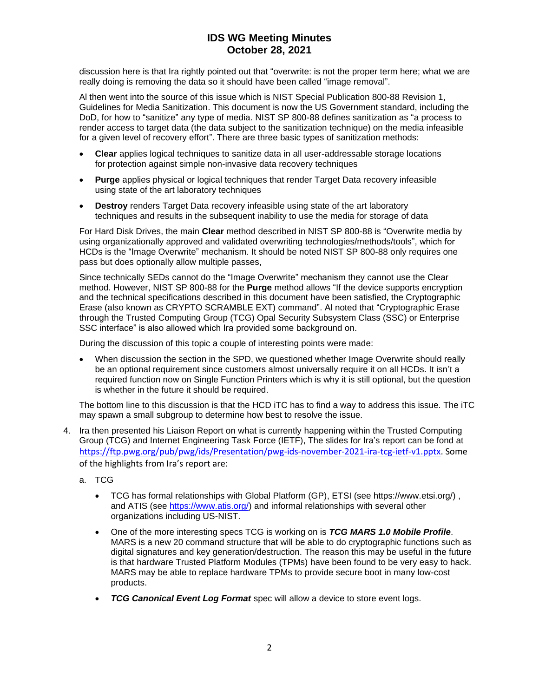discussion here is that Ira rightly pointed out that "overwrite: is not the proper term here; what we are really doing is removing the data so it should have been called "image removal".

Al then went into the source of this issue which is NIST Special Publication 800-88 Revision 1, Guidelines for Media Sanitization. This document is now the US Government standard, including the DoD, for how to "sanitize" any type of media. NIST SP 800-88 defines sanitization as "a process to render access to target data (the data subject to the sanitization technique) on the media infeasible for a given level of recovery effort". There are three basic types of sanitization methods:

- **Clear** applies logical techniques to sanitize data in all user-addressable storage locations for protection against simple non-invasive data recovery techniques
- **Purge** applies physical or logical techniques that render Target Data recovery infeasible using state of the art laboratory techniques
- **Destroy** renders Target Data recovery infeasible using state of the art laboratory techniques and results in the subsequent inability to use the media for storage of data

For Hard Disk Drives, the main **Clear** method described in NIST SP 800-88 is "Overwrite media by using organizationally approved and validated overwriting technologies/methods/tools", which for HCDs is the "Image Overwrite" mechanism. It should be noted NIST SP 800-88 only requires one pass but does optionally allow multiple passes,

Since technically SEDs cannot do the "Image Overwrite" mechanism they cannot use the Clear method. However, NIST SP 800-88 for the **Purge** method allows "If the device supports encryption and the technical specifications described in this document have been satisfied, the Cryptographic Erase (also known as CRYPTO SCRAMBLE EXT) command". Al noted that "Cryptographic Erase through the Trusted Computing Group (TCG) Opal Security Subsystem Class (SSC) or Enterprise SSC interface" is also allowed which Ira provided some background on.

During the discussion of this topic a couple of interesting points were made:

• When discussion the section in the SPD, we questioned whether Image Overwrite should really be an optional requirement since customers almost universally require it on all HCDs. It isn't a required function now on Single Function Printers which is why it is still optional, but the question is whether in the future it should be required.

The bottom line to this discussion is that the HCD iTC has to find a way to address this issue. The iTC may spawn a small subgroup to determine how best to resolve the issue.

- 4. Ira then presented his Liaison Report on what is currently happening within the Trusted Computing Group (TCG) and Internet Engineering Task Force (IETF), The slides for Ira's report can be fond at [https://ftp.pwg.org/pub/pwg/ids/Presentation/pwg-ids-november-2021-ira-tcg-ietf-v1.pptx.](https://ftp.pwg.org/pub/pwg/ids/Presentation/pwg-ids-november-2021-ira-tcg-ietf-v1.pptx) Some of the highlights from Ira's report are:
	- a. TCG
		- TCG has formal relationships with Global Platform (GP), ETSI (see https://www.etsi.org/) , and ATIS (see [https://www.atis.org/\)](https://www.atis.org/) and informal relationships with several other organizations including US-NIST.
		- One of the more interesting specs TCG is working on is *TCG MARS 1.0 Mobile Profile*. MARS is a new 20 command structure that will be able to do cryptographic functions such as digital signatures and key generation/destruction. The reason this may be useful in the future is that hardware Trusted Platform Modules (TPMs) have been found to be very easy to hack. MARS may be able to replace hardware TPMs to provide secure boot in many low-cost products.
		- *TCG Canonical Event Log Format* spec will allow a device to store event logs.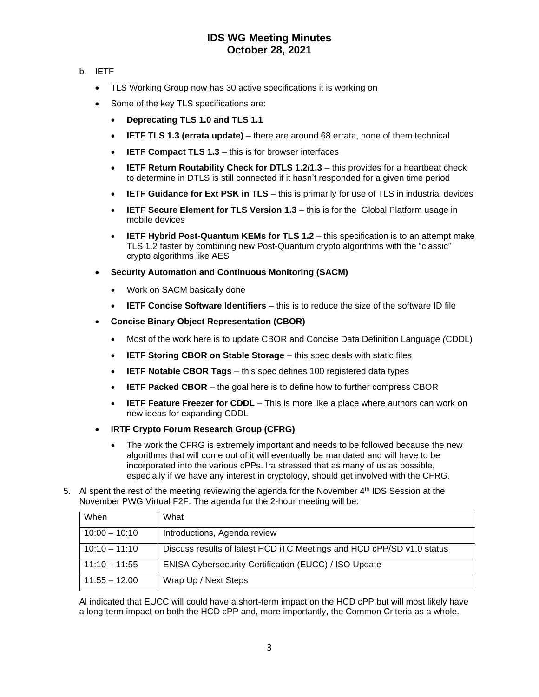### b. IETF

- TLS Working Group now has 30 active specifications it is working on
- Some of the key TLS specifications are:
	- **Deprecating TLS 1.0 and TLS 1.1**
	- **IETF TLS 1.3 (errata update)** there are around 68 errata, none of them technical
	- **IETF Compact TLS 1.3** this is for browser interfaces
	- **IETF Return Routability Check for DTLS 1.2/1.3** this provides for a heartbeat check to determine in DTLS is still connected if it hasn't responded for a given time period
	- **IETF Guidance for Ext PSK in TLS** this is primarily for use of TLS in industrial devices
	- **IETF Secure Element for TLS Version 1.3** this is for the Global Platform usage in mobile devices
	- **IETF Hybrid Post-Quantum KEMs for TLS 1.2** this specification is to an attempt make TLS 1.2 faster by combining new Post-Quantum crypto algorithms with the "classic" crypto algorithms like AES
- **Security Automation and Continuous Monitoring (SACM)**
	- Work on SACM basically done
	- **IETF Concise Software Identifiers**  this is to reduce the size of the software ID file
- **Concise Binary Object Representation (CBOR)**
	- Most of the work here is to update CBOR and Concise Data Definition Language *(*CDDL)
	- **IETF Storing CBOR on Stable Storage** this spec deals with static files
	- **IETF Notable CBOR Tags** this spec defines 100 registered data types
	- **IETF Packed CBOR** the goal here is to define how to further compress CBOR
	- **IETF Feature Freezer for CDDL** This is more like a place where authors can work on new ideas for expanding CDDL
- **IRTF Crypto Forum Research Group (CFRG)**
	- The work the CFRG is extremely important and needs to be followed because the new algorithms that will come out of it will eventually be mandated and will have to be incorporated into the various cPPs. Ira stressed that as many of us as possible, especially if we have any interest in cryptology, should get involved with the CFRG.
- 5. Al spent the rest of the meeting reviewing the agenda for the November 4<sup>th</sup> IDS Session at the November PWG Virtual F2F. The agenda for the 2-hour meeting will be:

| When            | What                                                                  |
|-----------------|-----------------------------------------------------------------------|
| $10:00 - 10:10$ | Introductions, Agenda review                                          |
| $10:10 - 11:10$ | Discuss results of latest HCD ITC Meetings and HCD cPP/SD v1.0 status |
| $11:10 - 11:55$ | <b>ENISA Cybersecurity Certification (EUCC) / ISO Update</b>          |
| $11:55 - 12:00$ | Wrap Up / Next Steps                                                  |

Al indicated that EUCC will could have a short-term impact on the HCD cPP but will most likely have a long-term impact on both the HCD cPP and, more importantly, the Common Criteria as a whole.